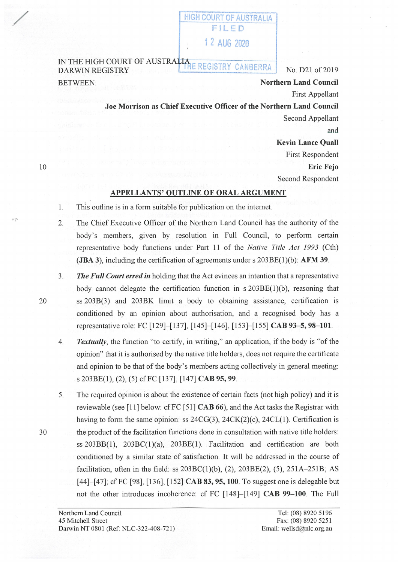## **HIGH COURT OF AUSTRALIA** FILED 1 2 AUG 2020

## IN THE HIGH COURT OF AUSTRALIA REGISTRY CANBERRA No. D21 of 2019 BETWEEN: **Northern Land Council**

First Appellant

**Joe Morrison as Chief Executive Officer of the Northern Land Council**  Second Appellant

and **Kevin Lance Quall**  First Respondent **Eric Fejo**  Second Respondent

## **APPELLANTS' OUTLINE OF ORAL ARGUMENT**

- 1. This outline is in a form suitable for publication on the internet.
- 2. The Chief Executive Officer of the Northern Land Council has the authority of the body's members, given by resolution in Full Council, to perform certain representative body functions under Part 11 of the *Native Title Act 1993* (Cth) **(JBA 3)**, including the certification of agreements under s 203BE(1)(b): **AFM 39**.
- 3. *The Full Court erred in* holding that the Act evinces an intention that a representative body cannot delegate the certification function in  $s$  203BE(1)(b), reasoning that ss 203B(3) and 203BK limit a body to obtaining assistance, certification is conditioned by an opinion about authorisation, and a recognised body has a representative role: FC [129]-[137], [145]-[146], [153]-[155] **CAB 93-5, 98-101.**
- 4. *Textually,* the function "to certify, in writing," an application, if the body is "of the opinion" that it is authorised by the native title holders, does not require the certificate and opinion to be that of the body's members acting collectively in general meeting: s 203BE(l), (2), (5) cfFC [137], [147] **CAB 95, 99.**
- 5. The required opinion is about the existence of certain facts (not high policy) and it is reviewable (see [11] below: cfFC [51] **CAB 66),** and the Act tasks the Registrar with having to form the same opinion: ss  $24CG(3)$ ,  $24CK(2)(c)$ ,  $24CL(1)$ . Certification is 30 the product of the facilitation functions done in consultation with native title holders: ss  $203BB(1)$ ,  $203BC(1)(a)$ ,  $203BE(1)$ . Facilitation and certification are both conditioned by a similar state of satisfaction. It will be addressed in the course of facilitation, often in the field: ss  $203BC(1)(b)$ ,  $(2)$ ,  $203BE(2)$ ,  $(5)$ ,  $251A-251B$ ; AS [44]-[47]; cf FC [98], [136], [152] **CAB 83, 95, 100**. To suggest one is delegable but not the other introduces incoherence: cf FC [148]-[149] **CAB 99-100.** The Full

20

10

/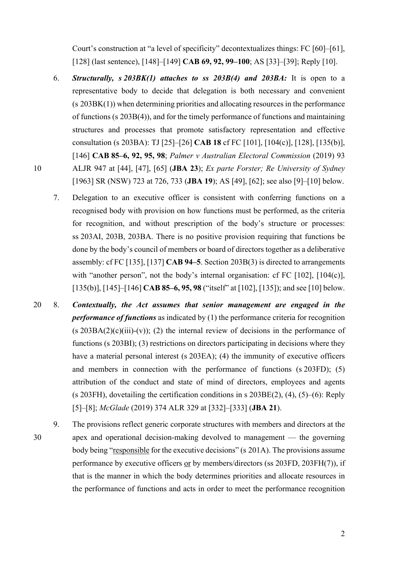Court's construction at "a level of specificity" decontextualizes things: FC [60]–[61], [128] (last sentence), [148]–[149] **CAB 69, 92, 99–100**; AS [33]–[39]; Reply [10].

- 6. *Structurally, s 203BK(1) attaches to ss 203B(4) and 203BA:* It is open to a representative body to decide that delegation is both necessary and convenient (s 203BK(1)) when determining priorities and allocating resources in the performance of functions (s 203B(4)), and for the timely performance of functions and maintaining structures and processes that promote satisfactory representation and effective consultation (s 203BA): TJ [25]–[26] **CAB 18** cf FC [101], [104(c)], [128], [135(b)], [146] **CAB 85–6, 92, 95, 98**; *Palmer v Australian Electoral Commission* (2019) 93 10 ALJR 947 at [44], [47], [65] (**JBA 23**); *Ex parte Forster; Re University of Sydney*  [1963] SR (NSW) 723 at 726, 733 (**JBA 19**); AS [49], [62]; see also [9]–[10] below.
	- 7. Delegation to an executive officer is consistent with conferring functions on a recognised body with provision on how functions must be performed, as the criteria for recognition, and without prescription of the body's structure or processes: ss 203AI, 203B, 203BA. There is no positive provision requiring that functions be done by the body's council of members or board of directors together as a deliberative assembly: cf FC [135], [137] **CAB 94–5**. Section 203B(3) is directed to arrangements with "another person", not the body's internal organisation: cf FC [102], [104(c)], [135(b)], [145]–[146] **CAB 85–6, 95, 98** ("itself" at [102], [135]); and see [10] below.
- 20 8. *Contextually, the Act assumes that senior management are engaged in the performance of functions* as indicated by (1) the performance criteria for recognition  $(s 203BA(2)(c)(iii)-(v))$ ; (2) the internal review of decisions in the performance of functions (s 203BI); (3) restrictions on directors participating in decisions where they have a material personal interest (s 203EA); (4) the immunity of executive officers and members in connection with the performance of functions (s 203FD); (5) attribution of the conduct and state of mind of directors, employees and agents (s 203FH), dovetailing the certification conditions in s 203BE(2), (4), (5)–(6): Reply [5]–[8]; *McGlade* (2019) 374 ALR 329 at [332]–[333] (**JBA 21**).

9. The provisions reflect generic corporate structures with members and directors at the 30 apex and operational decision-making devolved to management — the governing body being "responsible for the executive decisions" (s 201A). The provisions assume performance by executive officers or by members/directors (ss 203FD, 203FH(7)), if that is the manner in which the body determines priorities and allocate resources in the performance of functions and acts in order to meet the performance recognition

2